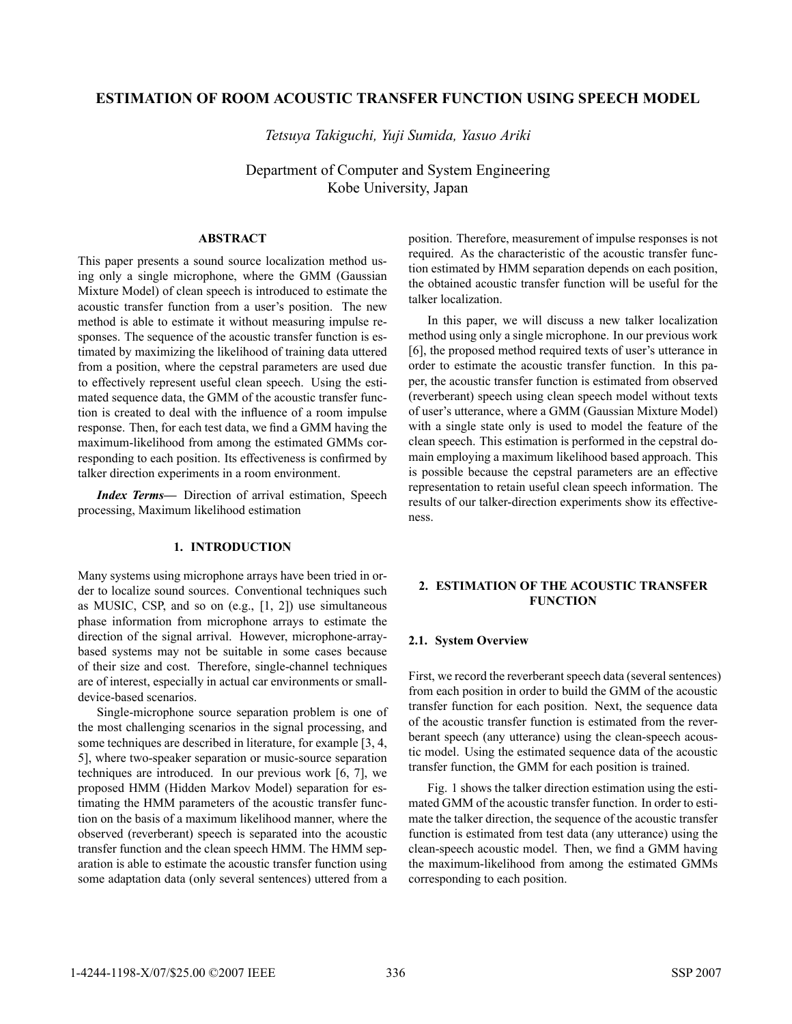# **ESTIMATION OF ROOM ACOUSTIC TRANSFER FUNCTION USING SPEECH MODEL**

*Tetsuya Takiguchi, Yuji Sumida, Yasuo Ariki*

Department of Computer and System Engineering Kobe University, Japan

## **ABSTRACT**

This paper presents a sound source localization method using only a single microphone, where the GMM (Gaussian Mixture Model) of clean speech is introduced to estimate the acoustic transfer function from a user's position. The new method is able to estimate it without measuring impulse responses. The sequence of the acoustic transfer function is estimated by maximizing the likelihood of training data uttered from a position, where the cepstral parameters are used due to effectively represent useful clean speech. Using the estimated sequence data, the GMM of the acoustic transfer function is created to deal with the influence of a room impulse response. Then, for each test data, we find a GMM having the maximum-likelihood from among the estimated GMMs corresponding to each position. Its effectiveness is confirmed by talker direction experiments in a room environment.

*Index Terms***—** Direction of arrival estimation, Speech processing, Maximum likelihood estimation

### **1. INTRODUCTION**

Many systems using microphone arrays have been tried in order to localize sound sources. Conventional techniques such as MUSIC, CSP, and so on (e.g., [1, 2]) use simultaneous phase information from microphone arrays to estimate the direction of the signal arrival. However, microphone-arraybased systems may not be suitable in some cases because of their size and cost. Therefore, single-channel techniques are of interest, especially in actual car environments or smalldevice-based scenarios.

Single-microphone source separation problem is one of the most challenging scenarios in the signal processing, and some techniques are described in literature, for example [3, 4, 5], where two-speaker separation or music-source separation techniques are introduced. In our previous work [6, 7], we proposed HMM (Hidden Markov Model) separation for estimating the HMM parameters of the acoustic transfer function on the basis of a maximum likelihood manner, where the observed (reverberant) speech is separated into the acoustic transfer function and the clean speech HMM. The HMM separation is able to estimate the acoustic transfer function using some adaptation data (only several sentences) uttered from a

position. Therefore, measurement of impulse responses is not required. As the characteristic of the acoustic transfer function estimated by HMM separation depends on each position, the obtained acoustic transfer function will be useful for the talker localization.

In this paper, we will discuss a new talker localization method using only a single microphone. In our previous work [6], the proposed method required texts of user's utterance in order to estimate the acoustic transfer function. In this paper, the acoustic transfer function is estimated from observed (reverberant) speech using clean speech model without texts of user's utterance, where a GMM (Gaussian Mixture Model) with a single state only is used to model the feature of the clean speech. This estimation is performed in the cepstral domain employing a maximum likelihood based approach. This is possible because the cepstral parameters are an effective representation to retain useful clean speech information. The results of our talker-direction experiments show its effectiveness.

# **2. ESTIMATION OF THE ACOUSTIC TRANSFER FUNCTION**

### **2.1. System Overview**

First, we record the reverberant speech data (several sentences) from each position in order to build the GMM of the acoustic transfer function for each position. Next, the sequence data of the acoustic transfer function is estimated from the reverberant speech (any utterance) using the clean-speech acoustic model. Using the estimated sequence data of the acoustic transfer function, the GMM for each position is trained.

Fig. 1 shows the talker direction estimation using the estimated GMM of the acoustic transfer function. In order to estimate the talker direction, the sequence of the acoustic transfer function is estimated from test data (any utterance) using the clean-speech acoustic model. Then, we find a GMM having the maximum-likelihood from among the estimated GMMs corresponding to each position.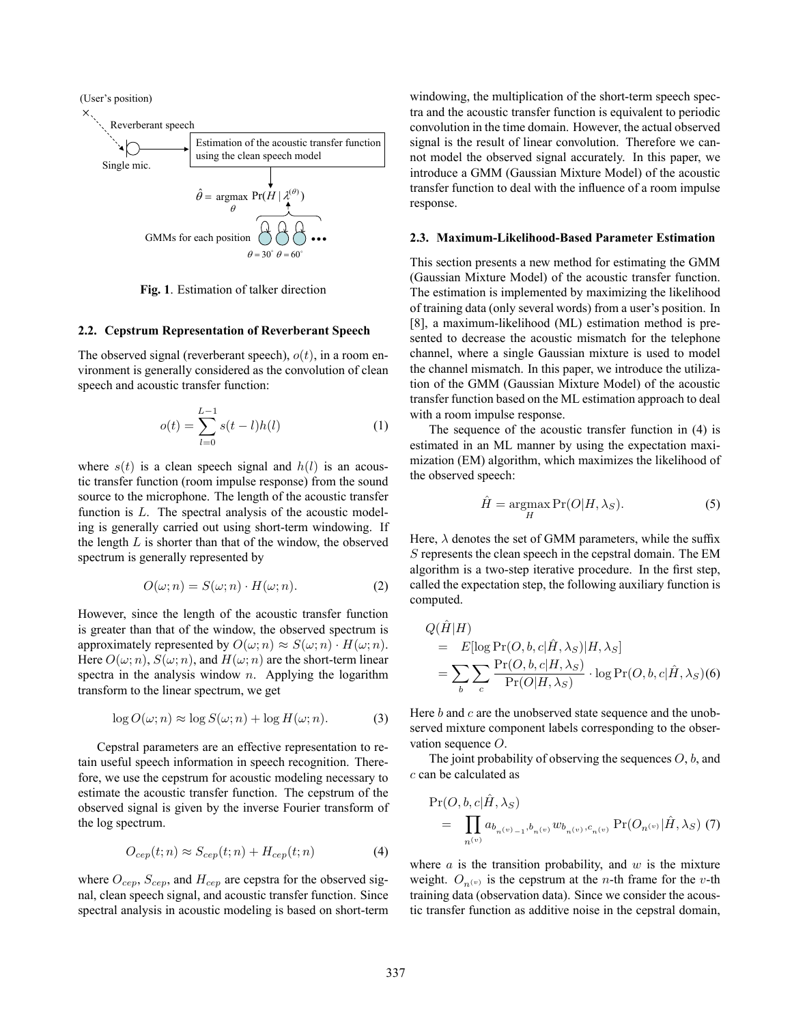

**Fig. 1**. Estimation of talker direction

#### **2.2. Cepstrum Representation of Reverberant Speech**

The observed signal (reverberant speech), *<sup>o</sup>*(*t*), in a room environment is generally considered as the convolution of clean speech and acoustic transfer function:

$$
o(t) = \sum_{l=0}^{L-1} s(t-l)h(l)
$$
 (1)

where  $s(t)$  is a clean speech signal and  $h(l)$  is an acoustic transfer function (room impulse response) from the sound source to the microphone. The length of the acoustic transfer function is *L*. The spectral analysis of the acoustic modeling is generally carried out using short-term windowing. If the length *L* is shorter than that of the window, the observed spectrum is generally represented by

$$
O(\omega; n) = S(\omega; n) \cdot H(\omega; n). \tag{2}
$$

However, since the length of the acoustic transfer function is greater than that of the window, the observed spectrum is approximately represented by  $O(\omega; n) \approx S(\omega; n) \cdot H(\omega; n)$ . Here  $O(\omega; n)$ ,  $S(\omega; n)$ , and  $H(\omega; n)$  are the short-term linear spectra in the analysis window *n*. Applying the logarithm transform to the linear spectrum, we get

$$
\log O(\omega; n) \approx \log S(\omega; n) + \log H(\omega; n). \tag{3}
$$

Cepstral parameters are an effective representation to retain useful speech information in speech recognition. Therefore, we use the cepstrum for acoustic modeling necessary to estimate the acoustic transfer function. The cepstrum of the observed signal is given by the inverse Fourier transform of the log spectrum.

$$
O_{cep}(t;n) \approx S_{cep}(t;n) + H_{cep}(t;n)
$$
 (4)

where *Ocep*, *Scep*, and *Hcep* are cepstra for the observed signal, clean speech signal, and acoustic transfer function. Since spectral analysis in acoustic modeling is based on short-term

windowing, the multiplication of the short-term speech spectra and the acoustic transfer function is equivalent to periodic convolution in the time domain. However, the actual observed signal is the result of linear convolution. Therefore we cannot model the observed signal accurately. In this paper, we introduce a GMM (Gaussian Mixture Model) of the acoustic transfer function to deal with the influence of a room impulse response.

#### **2.3. Maximum-Likelihood-Based Parameter Estimation**

This section presents a new method for estimating the GMM (Gaussian Mixture Model) of the acoustic transfer function. The estimation is implemented by maximizing the likelihood of training data (only several words) from a user's position. In [8], a maximum-likelihood (ML) estimation method is presented to decrease the acoustic mismatch for the telephone channel, where a single Gaussian mixture is used to model the channel mismatch. In this paper, we introduce the utilization of the GMM (Gaussian Mixture Model) of the acoustic transfer function based on the ML estimation approach to deal with a room impulse response.

The sequence of the acoustic transfer function in (4) is estimated in an ML manner by using the expectation maximization (EM) algorithm, which maximizes the likelihood of the observed speech:

$$
\hat{H} = \underset{H}{\operatorname{argmax}} \Pr(O|H, \lambda_S). \tag{5}
$$

Here,  $\lambda$  denotes the set of GMM parameters, while the suffix *S* represents the clean speech in the cepstral domain. The EM algorithm is a two-step iterative procedure. In the first step, called the expectation step, the following auxiliary function is computed.

$$
Q(H|H)
$$
  
=  $E[\log \Pr(O, b, c | \hat{H}, \lambda_S) | H, \lambda_S]$   
=  $\sum_b \sum_c \frac{\Pr(O, b, c | H, \lambda_S)}{\Pr(O | H, \lambda_S)} \cdot \log \Pr(O, b, c | \hat{H}, \lambda_S)$ (6)

Here *b* and *c* are the unobserved state sequence and the unobserved mixture component labels corresponding to the observation sequence *O*.

The joint probability of observing the sequences *O*, *b*, and *c* can be calculated as

$$
\Pr(O, b, c | H, \lambda_S) = \prod_{n^{(v)}} a_{b_{n^{(v)}-1}, b_{n^{(v)}}} w_{b_{n^{(v)}}, c_{n^{(v)}}} \Pr(O_{n^{(v)}} | \hat{H}, \lambda_S) (7)
$$

where *a* is the transition probability, and *w* is the mixture weight.  $O_{n(v)}$  is the cepstrum at the *n*-th frame for the *v*-th training data (observation data). Since we consider the acoustic transfer function as additive noise in the cepstral domain,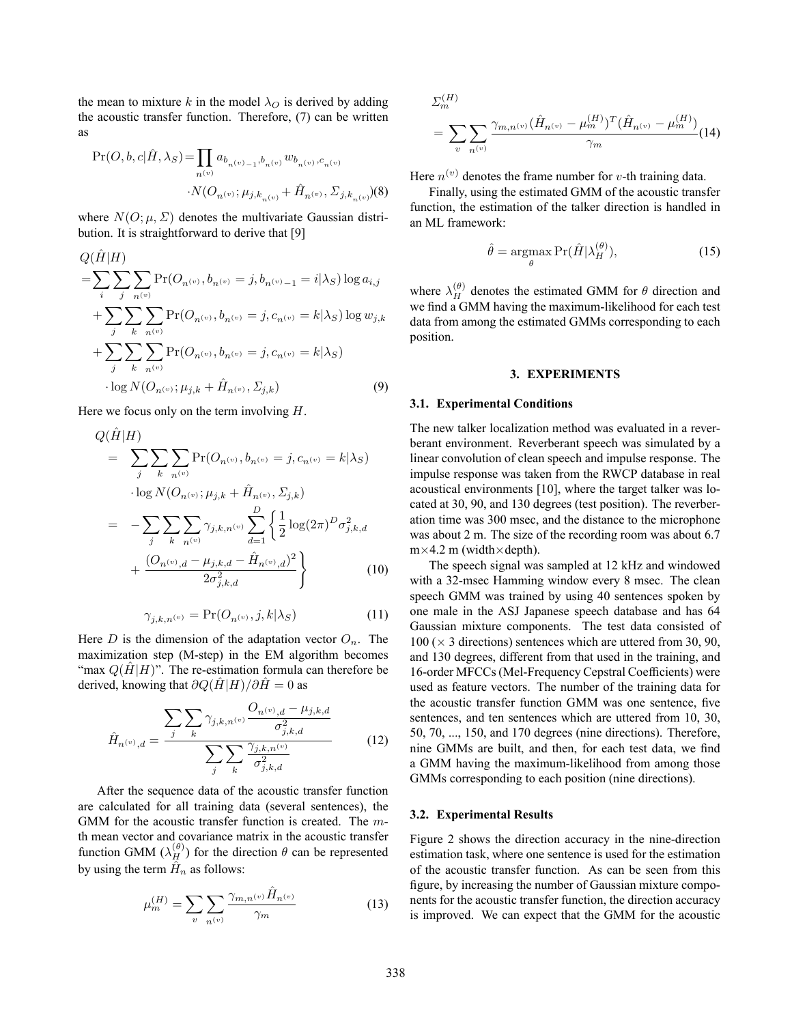the mean to mixture *k* in the model  $\lambda_O$  is derived by adding the acoustic transfer function. Therefore, (7) can be written as

$$
\begin{split} \Pr(O, b, c | \hat{H}, \lambda_S) = & \prod_{n^{(v)}} a_{b_{n^{(v)}-1}, b_{n^{(v)}}} w_{b_{n^{(v)}}, c_{n^{(v)}}} \\ & \cdot N(O_{n^{(v)}}; \mu_{j, k_{n^{(v)}}} + \hat{H}_{n^{(v)}}, \Sigma_{j, k_{n^{(v)}}}) \\ \end{split} \tag{8}
$$

where  $N(O; \mu, \Sigma)$  denotes the multivariate Gaussian distribution. It is straightforward to derive that [9]

$$
Q(H|H)
$$
  
= $\sum_{i} \sum_{j} \sum_{n^{(v)}} \Pr(O_{n^{(v)}}, b_{n^{(v)}} = j, b_{n^{(v)}-1} = i | \lambda_{S}) \log a_{i,j}$   
+ $\sum_{j} \sum_{k} \sum_{n^{(v)}} \Pr(O_{n^{(v)}}, b_{n^{(v)}} = j, c_{n^{(v)}} = k | \lambda_{S}) \log w_{j,k}$   
+ $\sum_{j} \sum_{k} \sum_{n^{(v)}} \Pr(O_{n^{(v)}}, b_{n^{(v)}} = j, c_{n^{(v)}} = k | \lambda_{S})$   
log  $N(O_{n^{(v)}}; \mu_{j,k} + \hat{H}_{n^{(v)}}, \Sigma_{j,k})$  (9)

Here we focus only on the term involving *H*.

$$
Q(\hat{H}|H) = \sum_{j} \sum_{k} \sum_{n^{(v)}} \Pr(O_{n^{(v)}}, b_{n^{(v)}} = j, c_{n^{(v)}} = k | \lambda_{S})
$$
  
\n
$$
\cdot \log N(O_{n^{(v)}}; \mu_{j,k} + \hat{H}_{n^{(v)}}, \Sigma_{j,k})
$$
  
\n
$$
= -\sum_{j} \sum_{k} \sum_{n^{(v)}} \gamma_{j,k,n^{(v)}} \sum_{d=1}^{D} \left\{ \frac{1}{2} \log(2\pi)^{D} \sigma_{j,k,d}^{2} + \frac{(O_{n^{(v)},d} - \mu_{j,k,d} - \hat{H}_{n^{(v)},d})^{2}}{2\sigma_{j,k,d}^{2}} \right\}
$$
(10)

$$
\gamma_{j,k,n^{(v)}} = \Pr(O_{n^{(v)}}, j, k | \lambda_S)
$$
\n(11)

Here *D* is the dimension of the adaptation vector  $O_n$ . The maximization step (M-step) in the EM algorithm becomes "max  $Q(H|H)$ ". The re-estimation formula can therefore be derived, knowing that  $\partial Q(H|H)/\partial H = 0$  as

$$
\hat{H}_{n^{(v)},d} = \frac{\sum_{j} \sum_{k} \gamma_{j,k,n^{(v)}} \frac{O_{n^{(v)},d} - \mu_{j,k,d}}{\sigma_{j,k,d}^2}}{\sum_{j} \sum_{k} \frac{\gamma_{j,k,n^{(v)}}}{\sigma_{j,k,d}^2}}
$$
(12)

After the sequence data of the acoustic transfer function are calculated for all training data (several sentences), the GMM for the acoustic transfer function is created. The *m*th mean vector and covariance matrix in the acoustic transfer function GMM  $(\lambda_H^{(\theta)})$  for the direction  $\theta$  can be represented by using the term  $\hat{H}_n$  as follows:

$$
\mu_m^{(H)} = \sum_{v} \sum_{n^{(v)}} \frac{\gamma_{m,n^{(v)}} \hat{H}_{n^{(v)}}}{\gamma_m} \tag{13}
$$

$$
\Sigma_{m}^{(H)} = \sum_{v} \sum_{n^{(v)}} \frac{\gamma_{m,n^{(v)}} (\hat{H}_{n^{(v)}} - \mu_{m}^{(H)})^T (\hat{H}_{n^{(v)}} - \mu_{m}^{(H)})}{\gamma_{m}} (14)
$$

Here  $n^{(v)}$  denotes the frame number for *v*-th training data.

Finally, using the estimated GMM of the acoustic transfer function, the estimation of the talker direction is handled in an ML framework:

$$
\hat{\theta} = \underset{\theta}{\operatorname{argmax}} \Pr(\hat{H} | \lambda_H^{(\theta)}), \tag{15}
$$

where  $\lambda_H^{(\theta)}$  denotes the estimated GMM for  $\theta$  direction and we find a GMM having the maximum-likelihood for each test data from among the estimated GMMs corresponding to each position.

### **3. EXPERIMENTS**

### **3.1. Experimental Conditions**

The new talker localization method was evaluated in a reverberant environment. Reverberant speech was simulated by a linear convolution of clean speech and impulse response. The impulse response was taken from the RWCP database in real acoustical environments [10], where the target talker was located at 30, 90, and 130 degrees (test position). The reverberation time was 300 msec, and the distance to the microphone was about 2 m. The size of the recording room was about 6.7  $m \times 4.2$  m (width $\times$ depth).

The speech signal was sampled at 12 kHz and windowed with a 32-msec Hamming window every 8 msec. The clean speech GMM was trained by using 40 sentences spoken by one male in the ASJ Japanese speech database and has 64 Gaussian mixture components. The test data consisted of  $100 \times 3$  directions) sentences which are uttered from 30, 90, and 130 degrees, different from that used in the training, and 16-order MFCCs (Mel-Frequency Cepstral Coefficients) were used as feature vectors. The number of the training data for the acoustic transfer function GMM was one sentence, five sentences, and ten sentences which are uttered from 10, 30, 50, 70, ..., 150, and 170 degrees (nine directions). Therefore, nine GMMs are built, and then, for each test data, we find a GMM having the maximum-likelihood from among those GMMs corresponding to each position (nine directions).

#### **3.2. Experimental Results**

Figure 2 shows the direction accuracy in the nine-direction estimation task, where one sentence is used for the estimation of the acoustic transfer function. As can be seen from this figure, by increasing the number of Gaussian mixture components for the acoustic transfer function, the direction accuracy is improved. We can expect that the GMM for the acoustic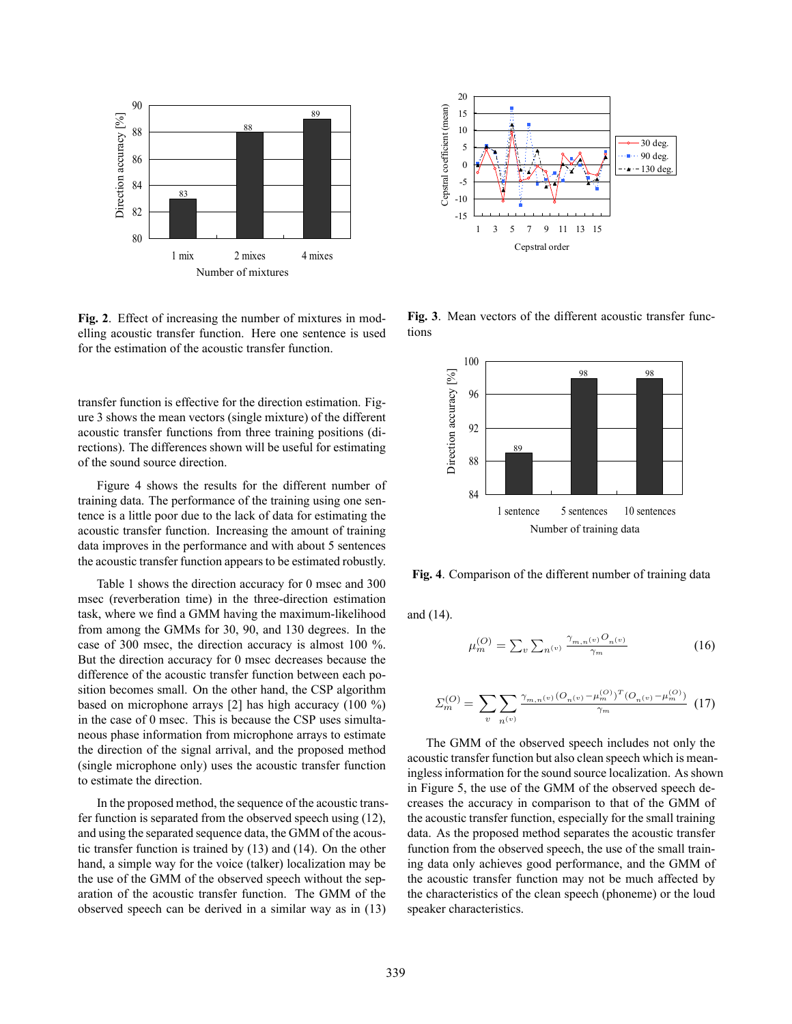

**Fig. 2**. Effect of increasing the number of mixtures in modelling acoustic transfer function. Here one sentence is used for the estimation of the acoustic transfer function.

transfer function is effective for the direction estimation. Figure 3 shows the mean vectors (single mixture) of the different acoustic transfer functions from three training positions (directions). The differences shown will be useful for estimating of the sound source direction.

Figure 4 shows the results for the different number of training data. The performance of the training using one sentence is a little poor due to the lack of data for estimating the acoustic transfer function. Increasing the amount of training data improves in the performance and with about 5 sentences the acoustic transfer function appears to be estimated robustly.

Table 1 shows the direction accuracy for 0 msec and 300 msec (reverberation time) in the three-direction estimation task, where we find a GMM having the maximum-likelihood from among the GMMs for 30, 90, and 130 degrees. In the case of 300 msec, the direction accuracy is almost 100 %. But the direction accuracy for 0 msec decreases because the difference of the acoustic transfer function between each position becomes small. On the other hand, the CSP algorithm based on microphone arrays [2] has high accuracy (100 %) in the case of 0 msec. This is because the CSP uses simultaneous phase information from microphone arrays to estimate the direction of the signal arrival, and the proposed method (single microphone only) uses the acoustic transfer function to estimate the direction.

In the proposed method, the sequence of the acoustic transfer function is separated from the observed speech using (12), and using the separated sequence data, the GMM of the acoustic transfer function is trained by (13) and (14). On the other hand, a simple way for the voice (talker) localization may be the use of the GMM of the observed speech without the separation of the acoustic transfer function. The GMM of the observed speech can be derived in a similar way as in (13)



**Fig. 3**. Mean vectors of the different acoustic transfer functions



**Fig. 4**. Comparison of the different number of training data

and (14).

$$
\mu_m^{(O)} = \sum_{v} \sum_{n^{(v)}} \frac{\gamma_{m,n^{(v)}} O_{n^{(v)}}}{\gamma_m} \tag{16}
$$

$$
\Sigma_m^{(O)} = \sum_{v} \sum_{n^{(v)}} \frac{\gamma_{m,n^{(v)}} (O_{n^{(v)}} - \mu_m^{(O)})^T (O_{n^{(v)}} - \mu_m^{(O)})}{\gamma_m} \tag{17}
$$

The GMM of the observed speech includes not only the acoustic transfer function but also clean speech which is meaningless information for the sound source localization. As shown in Figure 5, the use of the GMM of the observed speech decreases the accuracy in comparison to that of the GMM of the acoustic transfer function, especially for the small training data. As the proposed method separates the acoustic transfer function from the observed speech, the use of the small training data only achieves good performance, and the GMM of the acoustic transfer function may not be much affected by the characteristics of the clean speech (phoneme) or the loud speaker characteristics.